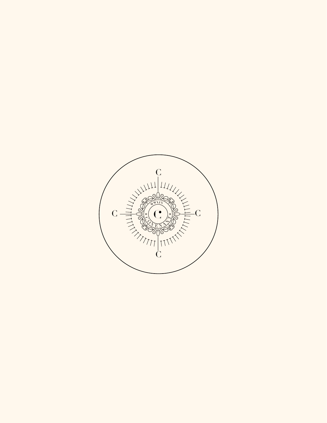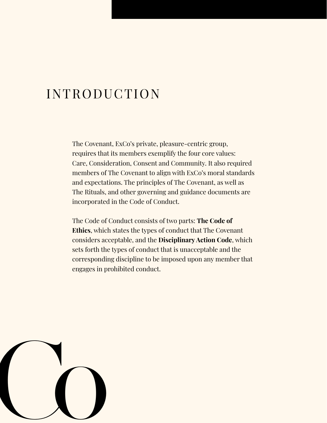## INTRODUCTION

The Covenant, ExCo's private, pleasure-centric group, requires that its members exemplify the four core values: Care, Consideration, Consent and Community. It also required members of The Covenant to align with ExCo's moral standards and expectations. The principles of The Covenant, as well as The Rituals, and other governing and guidance documents are incorporated in the Code of Conduct.

The Code of Conduct consists of two parts: **The Code of Ethics**, which states the types of conduct that The Covenant considers acceptable, and the **Disciplinary Action Code**, which sets forth the types of conduct that is unacceptable and the corresponding discipline to be imposed upon any member that engages in prohibited conduct.

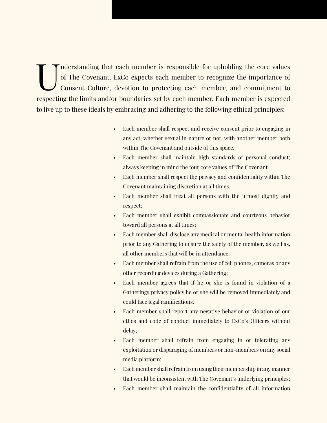Inderstanding that each member is responsible for upholding the core values of The Covenant, ExCo expects each member to recognize the importance of Consent Culture, devotion to protecting each member, and commitment to of The Covenant, ExCo expects each member to recognize the importance of Consent Culture, devotion to protecting each member, and commitment to respecting the limits and/or boundaries set by each member. Each member is expected to live up to these ideals by embracing and adhering to the following ethical principles:

- Each member shall respect and receive consent prior to engaging in any act, whether sexual in nature or not, with another member both within The Covenant and outside of this space.
- Each member shall maintain high standards of personal conduct; always keeping in mind the four core values of The Covenant.
- Each member shall respect the privacy and confidentiality within The Covenant maintaining discretion at all times.
- Each member shall treat all persons with the utmost dignity and respect;
- Each member shall exhibit compassionate and courteous behavior toward all persons at all times;
- Each member shall disclose any medical or mental health information prior to any Gathering to ensure the safety of the member, as well as, all other members that will be in attendance.
- Each member shall refrain from the use of cell phones, cameras or any other recording devices during a Gathering;
- Each member agrees that if he or she is found in violation of a Gatherings privacy policy he or she will be removed immediately and could face legal ramifications.
- Each member shall report any negative behavior or violation of our ethos and code of conduct immediately to ExCo's Officers without delay;
- Each member shall refrain from engaging in or tolerating any exploitation or disparaging of members or non-members on any social media platform;
- Each member shall refrain from using their membership in any manner that would be inconsistent with The Covenant's underlying principles;
- Each member shall maintain the confidentiality of all information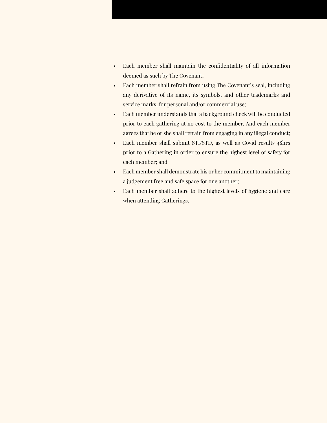- Each member shall maintain the confidentiality of all information deemed as such by The Covenant;
- Each member shall refrain from using The Covenant's seal, including any derivative of its name, its symbols, and other trademarks and service marks, for personal and/or commercial use;
- Each member understands that a background check will be conducted prior to each gathering at no cost to the member. And each member agrees that he or she shall refrain from engaging in any illegal conduct;
- Each member shall submit STI/STD, as well as Covid results 48hrs prior to a Gathering in order to ensure the highest level of safety for each member; and
- Each member shall demonstrate his or her commitment to maintaining a judgement free and safe space for one another;
- Each member shall adhere to the highest levels of hygiene and care when attending Gatherings.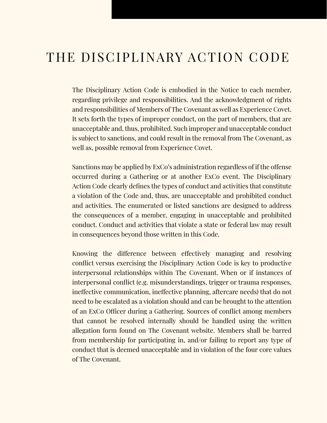The Disciplinary Action Code is embodied in the Notice to each member, regarding privilege and responsibilities. And the acknowledgment of rights and responsibilities of Members of The Covenant as well as Experience Covet. It sets forth the types of improper conduct, on the part of members, that are unacceptable and, thus, prohibited. Such improper and unacceptable conduct is subject to sanctions, and could result in the removal from The Covenant, as well as, possible removal from Experience Covet.

Sanctions may be applied by ExCo's administration regardless of if the offense occurred during a Gathering or at another ExCo event. The Disciplinary Action Code clearly defines the types of conduct and activities that constitute a violation of the Code and, thus, are unacceptable and prohibited conduct and activities. The enumerated or listed sanctions are designed to address the consequences of a member, engaging in unacceptable and prohibited conduct. Conduct and activities that violate a state or federal law may result in consequences beyond those written in this Code.

Knowing the difference between effectively managing and resolving conflict versus exercising the Disciplinary Action Code is key to productive interpersonal relationships within The Covenant. When or if instances of interpersonal conflict (e.g. misunderstandings, trigger or trauma responses, ineffective communication, ineffective planning, aftercare needs) that do not need to be escalated as a violation should and can be brought to the attention of an ExCo Officer during a Gathering. Sources of conflict among members that cannot be resolved internally should be handled using the written allegation form found on The Covenant website. Members shall be barred from membership for participating in, and/or failing to report any type of conduct that is deemed unacceptable and in violation of the four core values of The Covenant.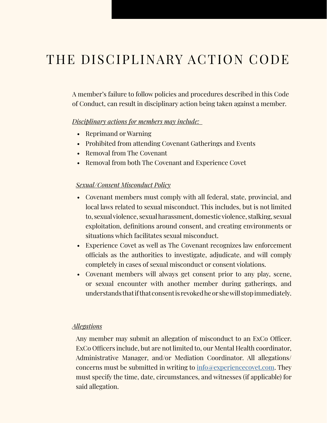A member's failure to follow policies and procedures described in this Code of Conduct, can result in disciplinary action being taken against a member.

#### *Disciplinary actions for members may include:*

- Reprimand or Warning
- Prohibited from attending Covenant Gatherings and Events
- Removal from The Covenant
- Removal from both The Covenant and Experience Covet

#### *Sexual/Consent Misconduct Policy*

- Covenant members must comply with all federal, state, provincial, and local laws related to sexual misconduct. This includes, but is not limited to, sexual violence, sexual harassment, domestic violence, stalking, sexual exploitation, definitions around consent, and creating environments or situations which facilitates sexual misconduct.
- Experience Covet as well as The Covenant recognizes law enforcement officials as the authorities to investigate, adjudicate, and will comply completely in cases of sexual misconduct or consent violations.
- Covenant members will always get consent prior to any play, scene, or sexual encounter with another member during gatherings, and understands that if that consent is revoked he or she will stop immediately.

#### *Allegations*

Any member may submit an allegation of misconduct to an ExCo Officer. ExCo Officers include, but are not limited to, our Mental Health coordinator, Administrative Manager, and/or Mediation Coordinator. All allegations/ concerns must be submitted in writing to [info@experiencecovet.com.](mailto:info%40experiencecovet.com?subject=%5BCovenant%5D%20Report) They must specify the time, date, circumstances, and witnesses (if applicable) for said allegation.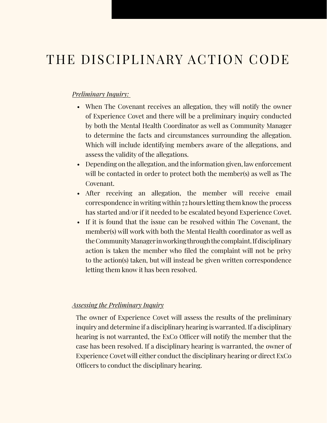### *Preliminary Inquiry:*

- When The Covenant receives an allegation, they will notify the owner of Experience Covet and there will be a preliminary inquiry conducted by both the Mental Health Coordinator as well as Community Manager to determine the facts and circumstances surrounding the allegation. Which will include identifying members aware of the allegations, and assess the validity of the allegations.
- Depending on the allegation, and the information given, law enforcement will be contacted in order to protect both the member(s) as well as The Covenant.
- After receiving an allegation, the member will receive email correspondence in writing within 72 hours letting them know the process has started and/or if it needed to be escalated beyond Experience Covet.
- If it is found that the issue can be resolved within The Covenant, the member(s) will work with both the Mental Health coordinator as well as the Community Manager in working through the complaint. If disciplinary action is taken the member who filed the complaint will not be privy to the action(s) taken, but will instead be given written correspondence letting them know it has been resolved.

### *Assessing the Preliminary Inquiry*

The owner of Experience Covet will assess the results of the preliminary inquiry and determine if a disciplinary hearing is warranted. If a disciplinary hearing is not warranted, the ExCo Officer will notify the member that the case has been resolved. If a disciplinary hearing is warranted, the owner of Experience Covet will either conduct the disciplinary hearing or direct ExCo Officers to conduct the disciplinary hearing.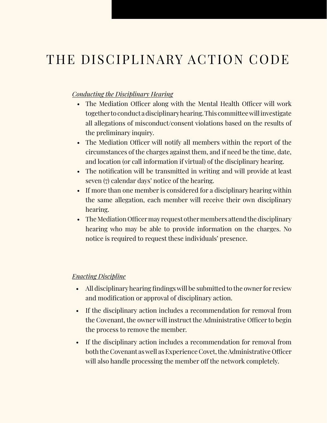### *Conducting the Disciplinary Hearing*

- The Mediation Officer along with the Mental Health Officer will work together to conduct a disciplinary hearing. This committee will investigate all allegations of misconduct/consent violations based on the results of the preliminary inquiry.
- The Mediation Officer will notify all members within the report of the circumstances of the charges against them, and if need be the time, date, and location (or call information if virtual) of the disciplinary hearing.
- The notification will be transmitted in writing and will provide at least seven (7) calendar days' notice of the hearing.
- If more than one member is considered for a disciplinary hearing within the same allegation, each member will receive their own disciplinary hearing.
- The Mediation Officer may request other members attend the disciplinary hearing who may be able to provide information on the charges. No notice is required to request these individuals' presence.

### *Enacting Discipline*

- All disciplinary hearing findings will be submitted to the owner for review and modification or approval of disciplinary action.
- If the disciplinary action includes a recommendation for removal from the Covenant, the owner will instruct the Administrative Officer to begin the process to remove the member.
- If the disciplinary action includes a recommendation for removal from both the Covenant as well as Experience Covet, the Administrative Officer will also handle processing the member off the network completely.